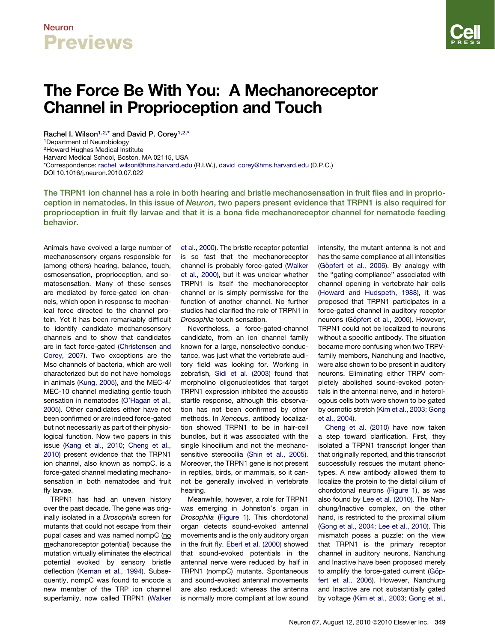### Neuron **Previews**

# The Force Be With You: A Mechanoreceptor Channel in Proprioception and Touch

Rachel I. Wilson<sup>1,2,\*</sup> and David P. Corey<sup>1,2,\*</sup> 1Department of Neurobiology 2Howard Hughes Medical Institute Harvard Medical School, Boston, MA 02115, USA \*Correspondence: [rachel\\_wilson@hms.harvard.edu](mailto:rachel_wilson@hms.harvard.edu) (R.I.W.), [david\\_corey@hms.harvard.edu](mailto:david_corey@hms.harvard.edu) (D.P.C.) DOI 10.1016/j.neuron.2010.07.022

The TRPN1 ion channel has a role in both hearing and bristle mechanosensation in fruit flies and in proprioception in nematodes. In this issue of Neuron, two papers present evidence that TRPN1 is also required for proprioception in fruit fly larvae and that it is a bona fide mechanoreceptor channel for nematode feeding behavior.

Animals have evolved a large number of mechanosensory organs responsible for (among others) hearing, balance, touch, osmosensation, proprioception, and somatosensation. Many of these senses are mediated by force-gated ion channels, which open in response to mechanical force directed to the channel protein. Yet it has been remarkably difficult to identify candidate mechanosensory channels and to show that candidates are in fact force-gated ([Christensen and](#page-2-0) [Corey, 2007\)](#page-2-0). Two exceptions are the Msc channels of bacteria, which are well characterized but do not have homologs in animals [\(Kung, 2005](#page-2-0)), and the MEC-4/ MEC-10 channel mediating gentle touch sensation in nematodes [\(O'Hagan et al.,](#page-2-0) [2005\)](#page-2-0). Other candidates either have not been confirmed or are indeed force-gated but not necessarily as part of their physiological function. Now two papers in this issue [\(Kang et al., 2010; Cheng et al.,](#page-2-0) [2010\)](#page-2-0) present evidence that the TRPN1 ion channel, also known as nompC, is a force-gated channel mediating mechanosensation in both nematodes and fruit fly larvae.

TRPN1 has had an uneven history over the past decade. The gene was originally isolated in a *Drosophila* screen for mutants that could not escape from their pupal cases and was named nompC (no mechanoreceptor potential) because the mutation virtually eliminates the electrical potential evoked by sensory bristle deflection ([Kernan et al., 1994\)](#page-2-0). Subsequently, nompC was found to encode a new member of the TRP ion channel superfamily, now called TRPN1 [\(Walker](#page-2-0)

[et al., 2000\)](#page-2-0). The bristle receptor potential is so fast that the mechanoreceptor channel is probably force-gated ([Walker](#page-2-0) [et al., 2000](#page-2-0)), but it was unclear whether TRPN1 is itself the mechanoreceptor channel or is simply permissive for the function of another channel. No further studies had clarified the role of TRPN1 in *Drosophila* touch sensation.

Nevertheless, a force-gated-channel candidate, from an ion channel family known for a large, nonselective conductance, was just what the vertebrate auditory field was looking for. Working in zebrafish, [Sidi et al. \(2003\)](#page-2-0) found that morpholino oligonucleotides that target TRPN1 expression inhibited the acoustic startle response, although this observation has not been confirmed by other methods. In *Xenopus*, antibody localization showed TRPN1 to be in hair-cell bundles, but it was associated with the single kinocilium and not the mechanosensitive stereocilia [\(Shin et al., 2005](#page-2-0)). Moreover, the TRPN1 gene is not present in reptiles, birds, or mammals, so it cannot be generally involved in vertebrate hearing.

Meanwhile, however, a role for TRPN1 was emerging in Johnston's organ in *Drosophila* ([Figure 1\)](#page-1-0). This chordotonal organ detects sound-evoked antennal movements and is the only auditory organ in the fruit fly. [Eberl et al. \(2000\)](#page-2-0) showed that sound-evoked potentials in the antennal nerve were reduced by half in TRPN1 (nompC) mutants. Spontaneous and sound-evoked antennal movements are also reduced: whereas the antenna is normally more compliant at low sound

intensity, the mutant antenna is not and has the same compliance at all intensities (Gö[pfert et al., 2006\)](#page-2-0). By analogy with the ''gating compliance'' associated with channel opening in vertebrate hair cells [\(Howard and Hudspeth, 1988](#page-2-0)), it was proposed that TRPN1 participates in a force-gated channel in auditory receptor neurons (Gö[pfert et al., 2006](#page-2-0)). However, TRPN1 could not be localized to neurons without a specific antibody. The situation became more confusing when two TRPVfamily members, Nanchung and Inactive, were also shown to be present in auditory neurons. Eliminating either TRPV completely abolished sound-evoked potentials in the antennal nerve, and in heterologous cells both were shown to be gated by osmotic stretch [\(Kim et al., 2003; Gong](#page-2-0) [et al., 2004\)](#page-2-0).

[Cheng et al. \(2010\)](#page-2-0) have now taken a step toward clarification. First, they isolated a TRPN1 transcript longer than that originally reported, and this transcript successfully rescues the mutant phenotypes. A new antibody allowed them to localize the protein to the distal cilium of chordotonal neurons [\(Figure 1](#page-1-0)), as was also found by [Lee et al. \(2010\).](#page-2-0) The Nanchung/Inactive complex, on the other hand, is restricted to the proximal cilium [\(Gong et al., 2004; Lee et al., 2010](#page-2-0)). This mismatch poses a puzzle: on the view that TRPN1 is the primary receptor channel in auditory neurons, Nanchung and Inactive have been proposed merely to amplify the force-gated current (Göpfert [et al., 2006](#page-2-0)). However, Nanchung and Inactive are not substantially gated by voltage ([Kim et al., 2003; Gong et al.,](#page-2-0)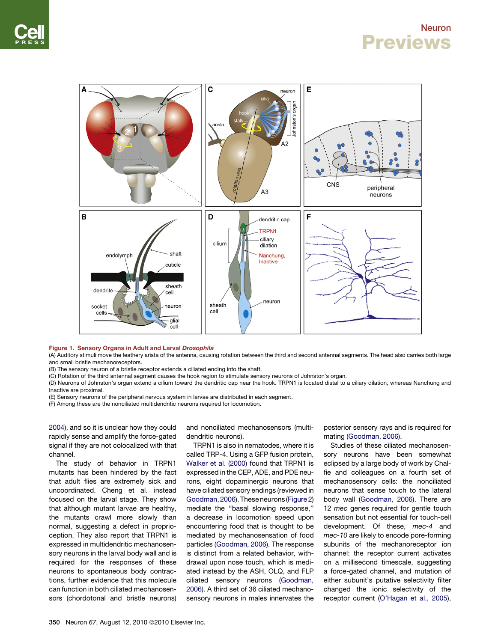#### Neuron **Previews**

<span id="page-1-0"></span>

Figure 1. Sensory Organs in Adult and Larval Drosophila

(A) Auditory stimuli move the feathery arista of the antenna, causing rotation between the third and second antennal segments. The head also carries both large and small bristle mechanoreceptors.

(B) The sensory neuron of a bristle receptor extends a ciliated ending into the shaft.

(C) Rotation of the third antennal segment causes the hook region to stimulate sensory neurons of Johnston's organ.

(D) Neurons of Johnston's organ extend a cilium toward the dendritic cap near the hook. TRPN1 is located distal to a ciliary dilation, whereas Nanchung and Inactive are proximal.

(E) Sensory neurons of the peripheral nervous system in larvae are distributed in each segment.

(F) Among these are the nonciliated multidendritic neurons required for locomotion.

[2004](#page-2-0)), and so it is unclear how they could rapidly sense and amplify the force-gated signal if they are not colocalized with that channel.

The study of behavior in TRPN1 mutants has been hindered by the fact that adult flies are extremely sick and uncoordinated. Cheng et al. instead focused on the larval stage. They show that although mutant larvae are healthy, the mutants crawl more slowly than normal, suggesting a defect in proprioception. They also report that TRPN1 is expressed in multidendritic mechanosensory neurons in the larval body wall and is required for the responses of these neurons to spontaneous body contractions, further evidence that this molecule can function in both ciliated mechanosensors (chordotonal and bristle neurons)

and nonciliated mechanosensors (multidendritic neurons).

TRPN1 is also in nematodes, where it is called TRP-4. Using a GFP fusion protein, [Walker et al. \(2000\)](#page-2-0) found that TRPN1 is expressed in the CEP, ADE, and PDE neurons, eight dopaminergic neurons that have ciliated sensory endings (reviewed in [Goodman, 2006](#page-2-0)). These neurons ([Figure 2](#page-2-0)) mediate the ''basal slowing response,'' a decrease in locomotion speed upon encountering food that is thought to be mediated by mechanosensation of food particles ([Goodman, 2006\)](#page-2-0). The response is distinct from a related behavior, withdrawal upon nose touch, which is mediated instead by the ASH, OLQ, and FLP ciliated sensory neurons [\(Goodman,](#page-2-0) [2006\)](#page-2-0). A third set of 36 ciliated mechanosensory neurons in males innervates the

posterior sensory rays and is required for mating ([Goodman, 2006\)](#page-2-0).

Studies of these ciliated mechanosensory neurons have been somewhat eclipsed by a large body of work by Chalfie and colleagues on a fourth set of mechanosensory cells: the nonciliated neurons that sense touch to the lateral body wall ([Goodman, 2006\)](#page-2-0). There are <sup>12</sup> *mec* genes required for gentle touch sensation but not essential for touch-cell development. Of these, *mec-4* and *mec-10* are likely to encode pore-forming subunits of the mechanoreceptor ion channel: the receptor current activates on a millisecond timescale, suggesting a force-gated channel, and mutation of either subunit's putative selectivity filter changed the ionic selectivity of the receptor current [\(O'Hagan et al., 2005](#page-2-0)),